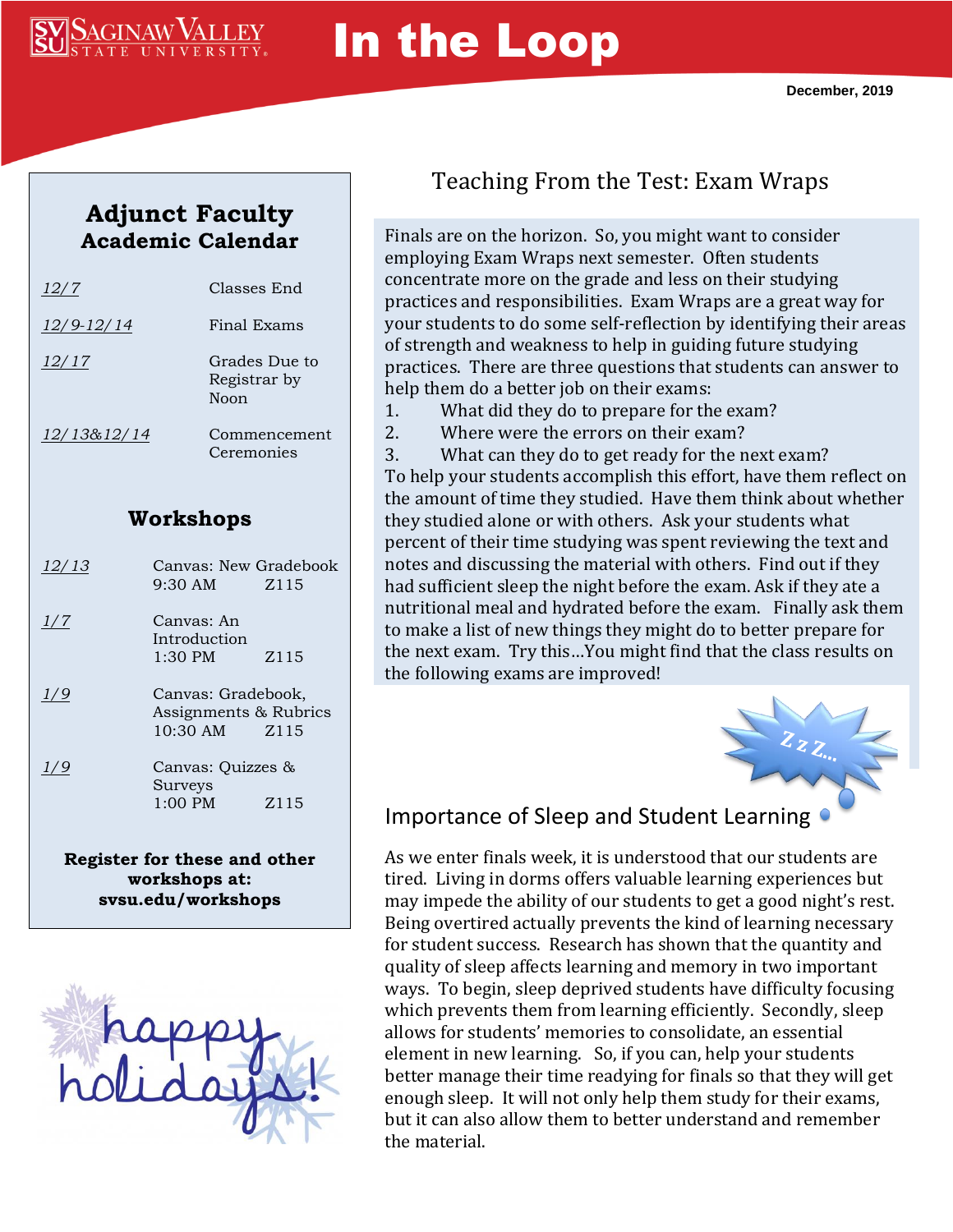

# In the Loop

## **Adjunct Faculty Academic Calendar**

| 12/7        | Classes End                           |
|-------------|---------------------------------------|
| 12/9-12/14  | Final Exams                           |
| 12/17       | Grades Due to<br>Registrar by<br>Noon |
| 12/13&12/14 | Commencement<br>Ceremonies            |

#### **Workshops**

| 12/13 | Canvas: New Gradebook<br>9:30 AM                        | Z115             |
|-------|---------------------------------------------------------|------------------|
| 1/7   | Canvas: An<br>Introduction<br>1:30 PM                   | Z <sub>115</sub> |
| 1/9   | Canvas: Gradebook,<br>Assignments & Rubrics<br>10:30 AM | Z115             |
| 1/9   | Canvas: Quizzes &<br>Surveys<br>$1:00 \text{ PM}$       | Z <sub>115</sub> |
|       |                                                         |                  |

**Register for these and other workshops at: svsu.edu/workshops**



## Teaching From the Test: Exam Wraps

Finals are on the horizon. So, you might want to consider employing Exam Wraps next semester. Often students concentrate more on the grade and less on their studying practices and responsibilities. Exam Wraps are a great way for your students to do some self-reflection by identifying their areas of strength and weakness to help in guiding future studying practices. There are three questions that students can answer to help them do a better job on their exams:

- 1. What did they do to prepare for the exam?
- 2. Where were the errors on their exam?

3. What can they do to get ready for the next exam? To help your students accomplish this effort, have them reflect on the amount of time they studied. Have them think about whether they studied alone or with others. Ask your students what percent of their time studying was spent reviewing the text and notes and discussing the material with others. Find out if they had sufficient sleep the night before the exam. Ask if they ate a nutritional meal and hydrated before the exam. Finally ask them to make a list of new things they might do to better prepare for the next exam. Try this…You might find that the class results on the following exams are improved!



#### Importance of Sleep and Student Learning

As we enter finals week, it is understood that our students are tired. Living in dorms offers valuable learning experiences but may impede the ability of our students to get a good night's rest. Being overtired actually prevents the kind of learning necessary for student success. Research has shown that the quantity and quality of sleep affects learning and memory in two important ways. To begin, sleep deprived students have difficulty focusing which prevents them from learning efficiently. Secondly, sleep allows for students' memories to consolidate, an essential element in new learning. So, if you can, help your students better manage their time readying for finals so that they will get enough sleep. It will not only help them study for their exams, but it can also allow them to better understand and remember the material.